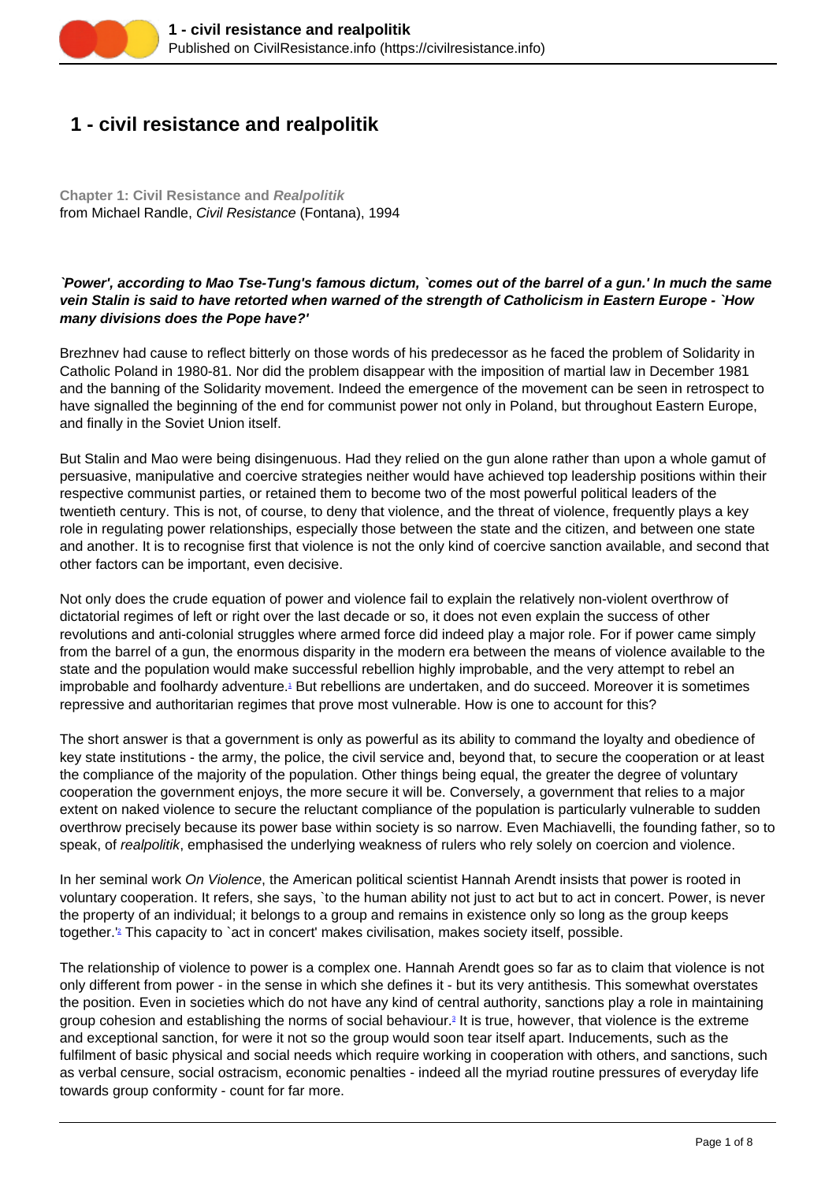# **1 - civil resistance and realpolitik**

**Chapter 1: Civil Resistance and Realpolitik** from Michael Randle, Civil Resistance (Fontana), 1994

# **`Power', according to Mao Tse-Tung's famous dictum, `comes out of the barrel of a gun.' In much the same vein Stalin is said to have retorted when warned of the strength of Catholicism in Eastern Europe - `How many divisions does the Pope have?'**

Brezhnev had cause to reflect bitterly on those words of his predecessor as he faced the problem of Solidarity in Catholic Poland in 1980-81. Nor did the problem disappear with the imposition of martial law in December 1981 and the banning of the Solidarity movement. Indeed the emergence of the movement can be seen in retrospect to have signalled the beginning of the end for communist power not only in Poland, but throughout Eastern Europe, and finally in the Soviet Union itself.

But Stalin and Mao were being disingenuous. Had they relied on the gun alone rather than upon a whole gamut of persuasive, manipulative and coercive strategies neither would have achieved top leadership positions within their respective communist parties, or retained them to become two of the most powerful political leaders of the twentieth century. This is not, of course, to deny that violence, and the threat of violence, frequently plays a key role in regulating power relationships, especially those between the state and the citizen, and between one state and another. It is to recognise first that violence is not the only kind of coercive sanction available, and second that other factors can be important, even decisive.

Not only does the crude equation of power and violence fail to explain the relatively non-violent overthrow of dictatorial regimes of left or right over the last decade or so, it does not even explain the success of other revolutions and anti-colonial struggles where armed force did indeed play a major role. For if power came simply from the barrel of a gun, the enormous disparity in the modern era between the means of violence available to the state and the population would make successful rebellion highly improbable, and the very attempt to rebel an improbable and foolhardy adventure.<sup>1</sup> But rebellions are undertaken, and do succeed. Moreover it is sometimes repressive and authoritarian regimes that prove most vulnerable. How is one to account for this?

The short answer is that a government is only as powerful as its ability to command the loyalty and obedience of key state institutions - the army, the police, the civil service and, beyond that, to secure the cooperation or at least the compliance of the majority of the population. Other things being equal, the greater the degree of voluntary cooperation the government enjoys, the more secure it will be. Conversely, a government that relies to a major extent on naked violence to secure the reluctant compliance of the population is particularly vulnerable to sudden overthrow precisely because its power base within society is so narrow. Even Machiavelli, the founding father, so to speak, of realpolitik, emphasised the underlying weakness of rulers who rely solely on coercion and violence.

In her seminal work On Violence, the American political scientist Hannah Arendt insists that power is rooted in voluntary cooperation. It refers, she says, `to the human ability not just to act but to act in concert. Power, is never the property of an individual; it belongs to a group and remains in existence only so long as the group keeps together.<sup>'</sup> This capacity to `act in concert' makes civilisation, makes society itself, possible.

The relationship of violence to power is a complex one. Hannah Arendt goes so far as to claim that violence is not only different from power - in the sense in which she defines it - but its very antithesis. This somewhat overstates the position. Even in societies which do not have any kind of central authority, sanctions play a role in maintaining group cohesion and establishing the norms of social behaviour.<sup>3</sup> It is true, however, that violence is the extreme and exceptional sanction, for were it not so the group would soon tear itself apart. Inducements, such as the fulfilment of basic physical and social needs which require working in cooperation with others, and sanctions, such as verbal censure, social ostracism, economic penalties - indeed all the myriad routine pressures of everyday life towards group conformity - count for far more.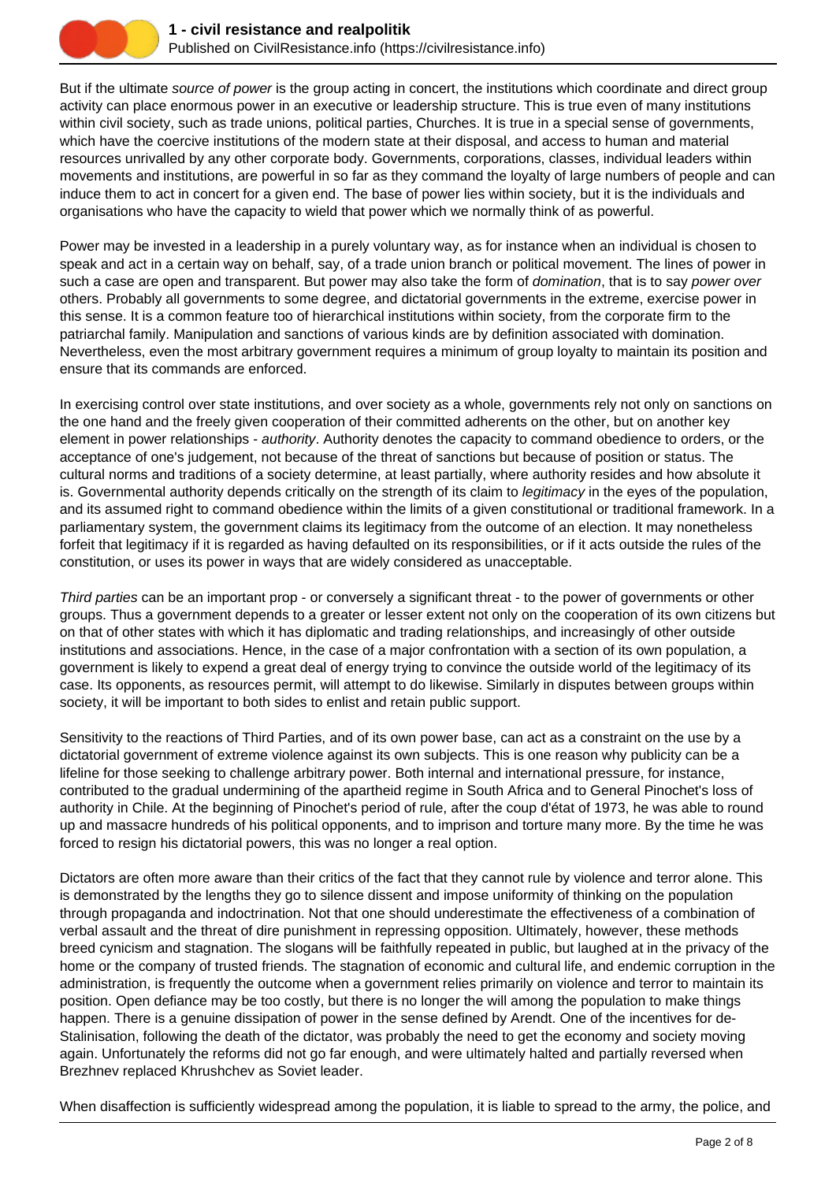

But if the ultimate source of power is the group acting in concert, the institutions which coordinate and direct group activity can place enormous power in an executive or leadership structure. This is true even of many institutions within civil society, such as trade unions, political parties, Churches. It is true in a special sense of governments, which have the coercive institutions of the modern state at their disposal, and access to human and material resources unrivalled by any other corporate body. Governments, corporations, classes, individual leaders within movements and institutions, are powerful in so far as they command the loyalty of large numbers of people and can induce them to act in concert for a given end. The base of power lies within society, but it is the individuals and organisations who have the capacity to wield that power which we normally think of as powerful.

Power may be invested in a leadership in a purely voluntary way, as for instance when an individual is chosen to speak and act in a certain way on behalf, say, of a trade union branch or political movement. The lines of power in such a case are open and transparent. But power may also take the form of *domination*, that is to say *power over* others. Probably all governments to some degree, and dictatorial governments in the extreme, exercise power in this sense. It is a common feature too of hierarchical institutions within society, from the corporate firm to the patriarchal family. Manipulation and sanctions of various kinds are by definition associated with domination. Nevertheless, even the most arbitrary government requires a minimum of group loyalty to maintain its position and ensure that its commands are enforced.

In exercising control over state institutions, and over society as a whole, governments rely not only on sanctions on the one hand and the freely given cooperation of their committed adherents on the other, but on another key element in power relationships - *authority*. Authority denotes the capacity to command obedience to orders, or the acceptance of one's judgement, not because of the threat of sanctions but because of position or status. The cultural norms and traditions of a society determine, at least partially, where authority resides and how absolute it is. Governmental authority depends critically on the strength of its claim to *legitimacy* in the eyes of the population, and its assumed right to command obedience within the limits of a given constitutional or traditional framework. In a parliamentary system, the government claims its legitimacy from the outcome of an election. It may nonetheless forfeit that legitimacy if it is regarded as having defaulted on its responsibilities, or if it acts outside the rules of the constitution, or uses its power in ways that are widely considered as unacceptable.

Third parties can be an important prop - or conversely a significant threat - to the power of governments or other groups. Thus a government depends to a greater or lesser extent not only on the cooperation of its own citizens but on that of other states with which it has diplomatic and trading relationships, and increasingly of other outside institutions and associations. Hence, in the case of a major confrontation with a section of its own population, a government is likely to expend a great deal of energy trying to convince the outside world of the legitimacy of its case. Its opponents, as resources permit, will attempt to do likewise. Similarly in disputes between groups within society, it will be important to both sides to enlist and retain public support.

Sensitivity to the reactions of Third Parties, and of its own power base, can act as a constraint on the use by a dictatorial government of extreme violence against its own subjects. This is one reason why publicity can be a lifeline for those seeking to challenge arbitrary power. Both internal and international pressure, for instance, contributed to the gradual undermining of the apartheid regime in South Africa and to General Pinochet's loss of authority in Chile. At the beginning of Pinochet's period of rule, after the coup d'état of 1973, he was able to round up and massacre hundreds of his political opponents, and to imprison and torture many more. By the time he was forced to resign his dictatorial powers, this was no longer a real option.

Dictators are often more aware than their critics of the fact that they cannot rule by violence and terror alone. This is demonstrated by the lengths they go to silence dissent and impose uniformity of thinking on the population through propaganda and indoctrination. Not that one should underestimate the effectiveness of a combination of verbal assault and the threat of dire punishment in repressing opposition. Ultimately, however, these methods breed cynicism and stagnation. The slogans will be faithfully repeated in public, but laughed at in the privacy of the home or the company of trusted friends. The stagnation of economic and cultural life, and endemic corruption in the administration, is frequently the outcome when a government relies primarily on violence and terror to maintain its position. Open defiance may be too costly, but there is no longer the will among the population to make things happen. There is a genuine dissipation of power in the sense defined by Arendt. One of the incentives for de-Stalinisation, following the death of the dictator, was probably the need to get the economy and society moving again. Unfortunately the reforms did not go far enough, and were ultimately halted and partially reversed when Brezhnev replaced Khrushchev as Soviet leader.

When disaffection is sufficiently widespread among the population, it is liable to spread to the army, the police, and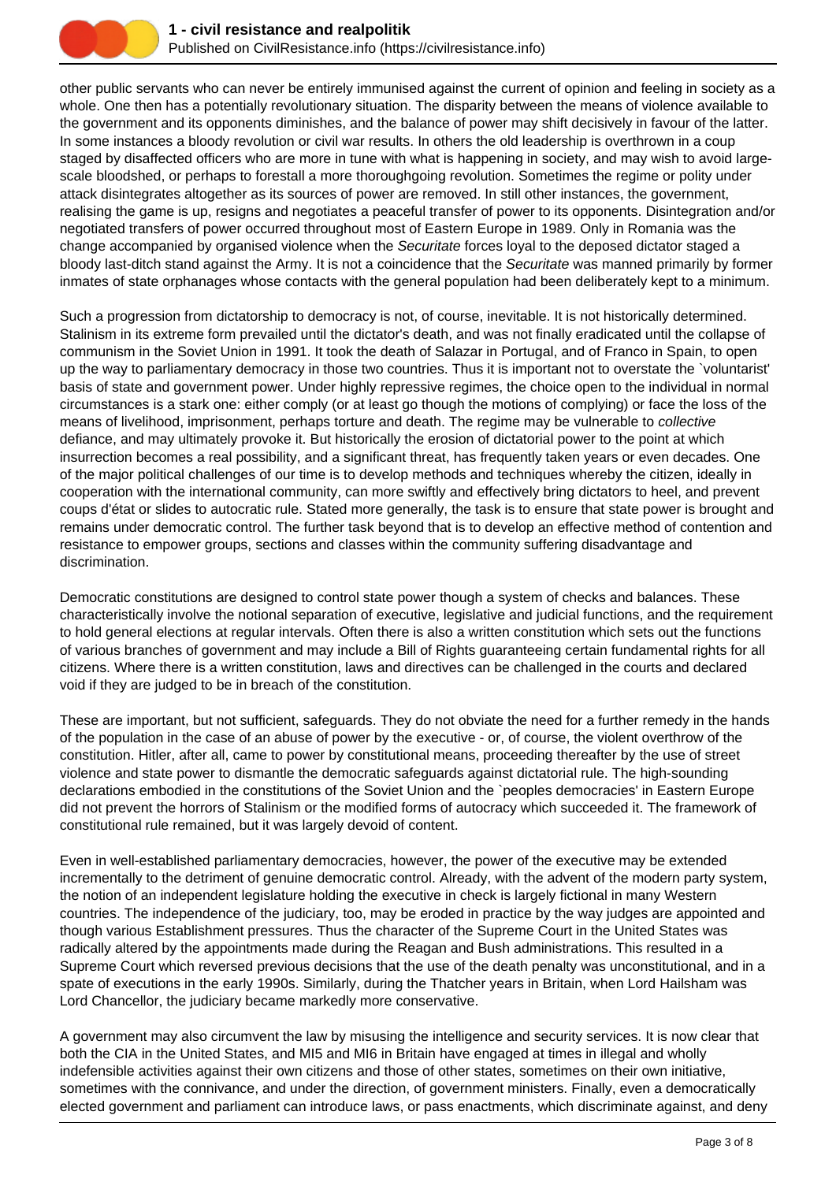

other public servants who can never be entirely immunised against the current of opinion and feeling in society as a whole. One then has a potentially revolutionary situation. The disparity between the means of violence available to the government and its opponents diminishes, and the balance of power may shift decisively in favour of the latter. In some instances a bloody revolution or civil war results. In others the old leadership is overthrown in a coup staged by disaffected officers who are more in tune with what is happening in society, and may wish to avoid largescale bloodshed, or perhaps to forestall a more thoroughgoing revolution. Sometimes the regime or polity under attack disintegrates altogether as its sources of power are removed. In still other instances, the government, realising the game is up, resigns and negotiates a peaceful transfer of power to its opponents. Disintegration and/or negotiated transfers of power occurred throughout most of Eastern Europe in 1989. Only in Romania was the change accompanied by organised violence when the Securitate forces loyal to the deposed dictator staged a bloody last-ditch stand against the Army. It is not a coincidence that the Securitate was manned primarily by former inmates of state orphanages whose contacts with the general population had been deliberately kept to a minimum.

Such a progression from dictatorship to democracy is not, of course, inevitable. It is not historically determined. Stalinism in its extreme form prevailed until the dictator's death, and was not finally eradicated until the collapse of communism in the Soviet Union in 1991. It took the death of Salazar in Portugal, and of Franco in Spain, to open up the way to parliamentary democracy in those two countries. Thus it is important not to overstate the `voluntarist' basis of state and government power. Under highly repressive regimes, the choice open to the individual in normal circumstances is a stark one: either comply (or at least go though the motions of complying) or face the loss of the means of livelihood, imprisonment, perhaps torture and death. The regime may be vulnerable to collective defiance, and may ultimately provoke it. But historically the erosion of dictatorial power to the point at which insurrection becomes a real possibility, and a significant threat, has frequently taken years or even decades. One of the major political challenges of our time is to develop methods and techniques whereby the citizen, ideally in cooperation with the international community, can more swiftly and effectively bring dictators to heel, and prevent coups d'état or slides to autocratic rule. Stated more generally, the task is to ensure that state power is brought and remains under democratic control. The further task beyond that is to develop an effective method of contention and resistance to empower groups, sections and classes within the community suffering disadvantage and discrimination.

Democratic constitutions are designed to control state power though a system of checks and balances. These characteristically involve the notional separation of executive, legislative and judicial functions, and the requirement to hold general elections at regular intervals. Often there is also a written constitution which sets out the functions of various branches of government and may include a Bill of Rights guaranteeing certain fundamental rights for all citizens. Where there is a written constitution, laws and directives can be challenged in the courts and declared void if they are judged to be in breach of the constitution.

These are important, but not sufficient, safeguards. They do not obviate the need for a further remedy in the hands of the population in the case of an abuse of power by the executive - or, of course, the violent overthrow of the constitution. Hitler, after all, came to power by constitutional means, proceeding thereafter by the use of street violence and state power to dismantle the democratic safeguards against dictatorial rule. The high-sounding declarations embodied in the constitutions of the Soviet Union and the `peoples democracies' in Eastern Europe did not prevent the horrors of Stalinism or the modified forms of autocracy which succeeded it. The framework of constitutional rule remained, but it was largely devoid of content.

Even in well-established parliamentary democracies, however, the power of the executive may be extended incrementally to the detriment of genuine democratic control. Already, with the advent of the modern party system, the notion of an independent legislature holding the executive in check is largely fictional in many Western countries. The independence of the judiciary, too, may be eroded in practice by the way judges are appointed and though various Establishment pressures. Thus the character of the Supreme Court in the United States was radically altered by the appointments made during the Reagan and Bush administrations. This resulted in a Supreme Court which reversed previous decisions that the use of the death penalty was unconstitutional, and in a spate of executions in the early 1990s. Similarly, during the Thatcher years in Britain, when Lord Hailsham was Lord Chancellor, the judiciary became markedly more conservative.

A government may also circumvent the law by misusing the intelligence and security services. It is now clear that both the CIA in the United States, and MI5 and MI6 in Britain have engaged at times in illegal and wholly indefensible activities against their own citizens and those of other states, sometimes on their own initiative, sometimes with the connivance, and under the direction, of government ministers. Finally, even a democratically elected government and parliament can introduce laws, or pass enactments, which discriminate against, and deny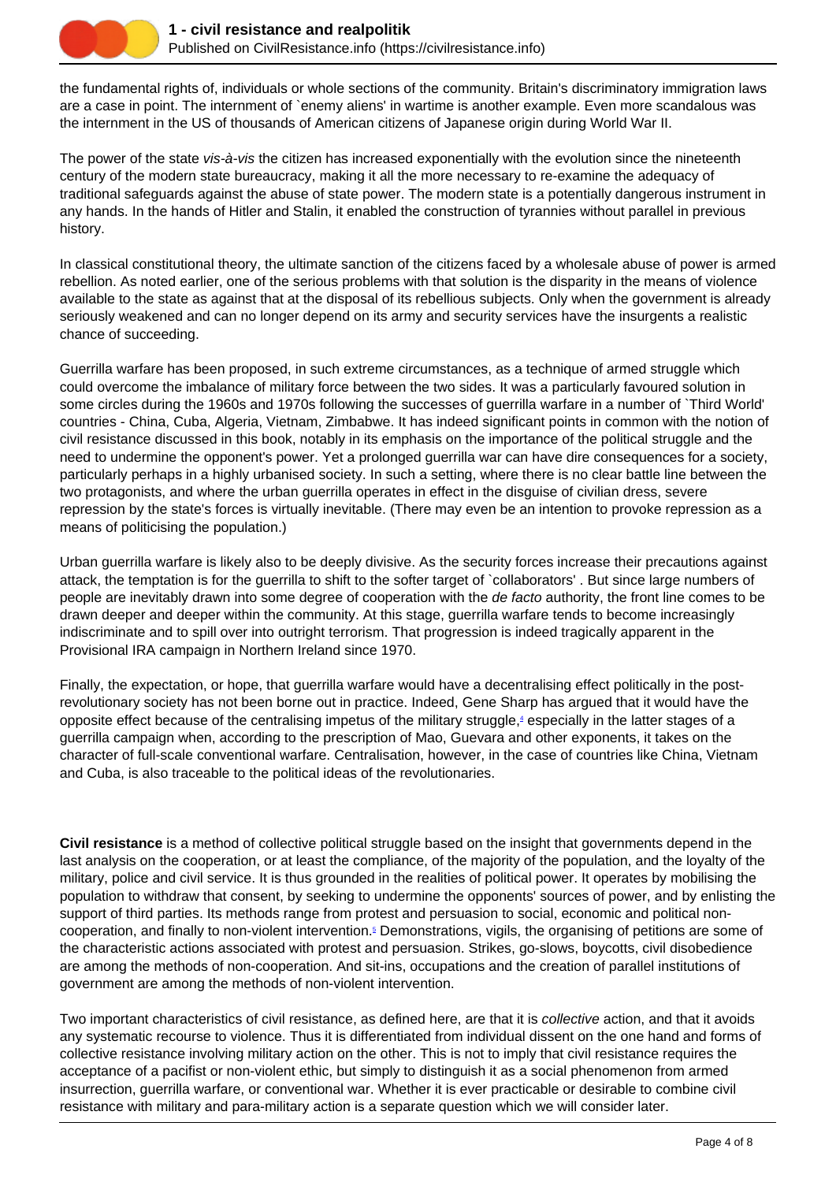

the fundamental rights of, individuals or whole sections of the community. Britain's discriminatory immigration laws are a case in point. The internment of `enemy aliens' in wartime is another example. Even more scandalous was the internment in the US of thousands of American citizens of Japanese origin during World War II.

The power of the state vis-à-vis the citizen has increased exponentially with the evolution since the nineteenth century of the modern state bureaucracy, making it all the more necessary to re-examine the adequacy of traditional safeguards against the abuse of state power. The modern state is a potentially dangerous instrument in any hands. In the hands of Hitler and Stalin, it enabled the construction of tyrannies without parallel in previous history.

In classical constitutional theory, the ultimate sanction of the citizens faced by a wholesale abuse of power is armed rebellion. As noted earlier, one of the serious problems with that solution is the disparity in the means of violence available to the state as against that at the disposal of its rebellious subjects. Only when the government is already seriously weakened and can no longer depend on its army and security services have the insurgents a realistic chance of succeeding.

Guerrilla warfare has been proposed, in such extreme circumstances, as a technique of armed struggle which could overcome the imbalance of military force between the two sides. It was a particularly favoured solution in some circles during the 1960s and 1970s following the successes of guerrilla warfare in a number of `Third World' countries - China, Cuba, Algeria, Vietnam, Zimbabwe. It has indeed significant points in common with the notion of civil resistance discussed in this book, notably in its emphasis on the importance of the political struggle and the need to undermine the opponent's power. Yet a prolonged guerrilla war can have dire consequences for a society, particularly perhaps in a highly urbanised society. In such a setting, where there is no clear battle line between the two protagonists, and where the urban guerrilla operates in effect in the disguise of civilian dress, severe repression by the state's forces is virtually inevitable. (There may even be an intention to provoke repression as a means of politicising the population.)

Urban guerrilla warfare is likely also to be deeply divisive. As the security forces increase their precautions against attack, the temptation is for the guerrilla to shift to the softer target of `collaborators' . But since large numbers of people are inevitably drawn into some degree of cooperation with the de facto authority, the front line comes to be drawn deeper and deeper within the community. At this stage, guerrilla warfare tends to become increasingly indiscriminate and to spill over into outright terrorism. That progression is indeed tragically apparent in the Provisional IRA campaign in Northern Ireland since 1970.

Finally, the expectation, or hope, that guerrilla warfare would have a decentralising effect politically in the postrevolutionary society has not been borne out in practice. Indeed, Gene Sharp has argued that it would have the opposite effect because of the centralising impetus of the military struggle,<sup>4</sup> especially in the latter stages of a guerrilla campaign when, according to the prescription of Mao, Guevara and other exponents, it takes on the character of full-scale conventional warfare. Centralisation, however, in the case of countries like China, Vietnam and Cuba, is also traceable to the political ideas of the revolutionaries.

**Civil resistance** is a method of collective political struggle based on the insight that governments depend in the last analysis on the cooperation, or at least the compliance, of the majority of the population, and the loyalty of the military, police and civil service. It is thus grounded in the realities of political power. It operates by mobilising the population to withdraw that consent, by seeking to undermine the opponents' sources of power, and by enlisting the support of third parties. Its methods range from protest and persuasion to social, economic and political noncooperation, and finally to non-violent intervention.<sup>5</sup> Demonstrations, vigils, the organising of petitions are some of the characteristic actions associated with protest and persuasion. Strikes, go-slows, boycotts, civil disobedience are among the methods of non-cooperation. And sit-ins, occupations and the creation of parallel institutions of government are among the methods of non-violent intervention.

Two important characteristics of civil resistance, as defined here, are that it is collective action, and that it avoids any systematic recourse to violence. Thus it is differentiated from individual dissent on the one hand and forms of collective resistance involving military action on the other. This is not to imply that civil resistance requires the acceptance of a pacifist or non-violent ethic, but simply to distinguish it as a social phenomenon from armed insurrection, guerrilla warfare, or conventional war. Whether it is ever practicable or desirable to combine civil resistance with military and para-military action is a separate question which we will consider later.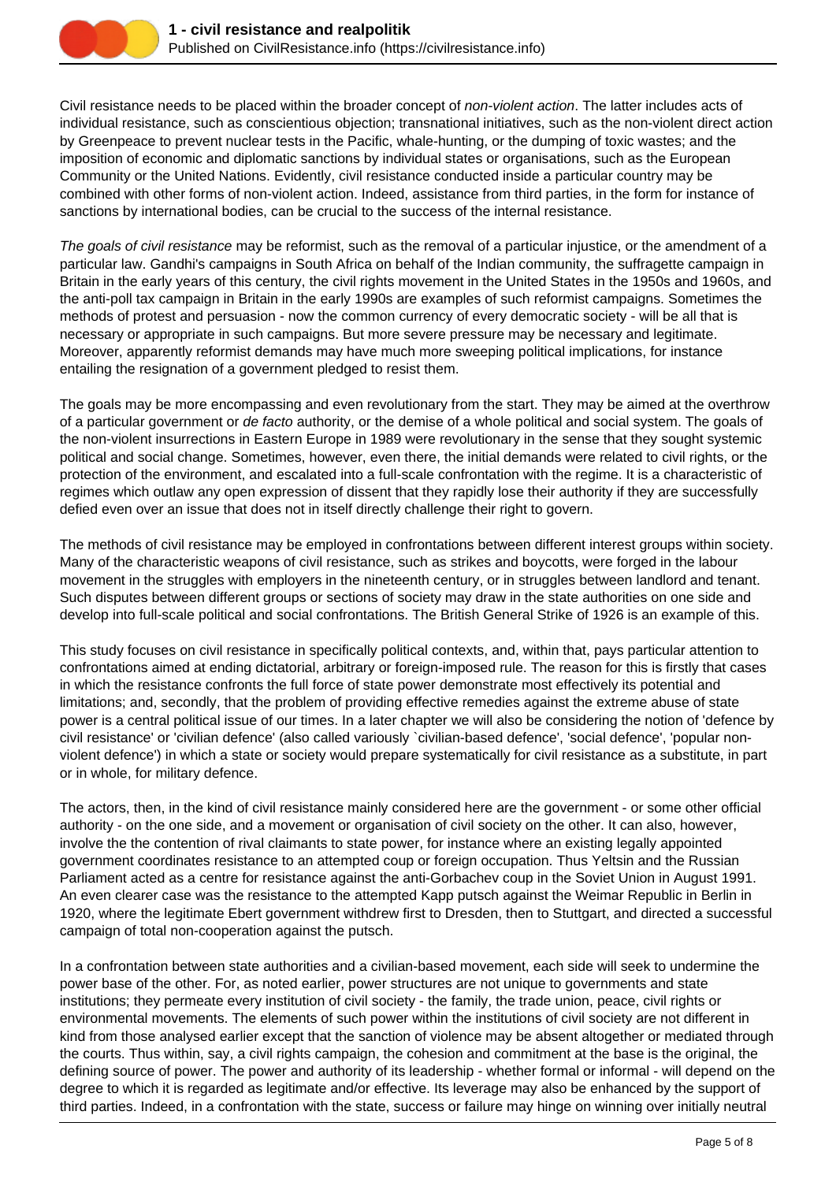

Civil resistance needs to be placed within the broader concept of non-violent action. The latter includes acts of individual resistance, such as conscientious objection; transnational initiatives, such as the non-violent direct action by Greenpeace to prevent nuclear tests in the Pacific, whale-hunting, or the dumping of toxic wastes; and the imposition of economic and diplomatic sanctions by individual states or organisations, such as the European Community or the United Nations. Evidently, civil resistance conducted inside a particular country may be combined with other forms of non-violent action. Indeed, assistance from third parties, in the form for instance of sanctions by international bodies, can be crucial to the success of the internal resistance.

The goals of civil resistance may be reformist, such as the removal of a particular injustice, or the amendment of a particular law. Gandhi's campaigns in South Africa on behalf of the Indian community, the suffragette campaign in Britain in the early years of this century, the civil rights movement in the United States in the 1950s and 1960s, and the anti-poll tax campaign in Britain in the early 1990s are examples of such reformist campaigns. Sometimes the methods of protest and persuasion - now the common currency of every democratic society - will be all that is necessary or appropriate in such campaigns. But more severe pressure may be necessary and legitimate. Moreover, apparently reformist demands may have much more sweeping political implications, for instance entailing the resignation of a government pledged to resist them.

The goals may be more encompassing and even revolutionary from the start. They may be aimed at the overthrow of a particular government or de facto authority, or the demise of a whole political and social system. The goals of the non-violent insurrections in Eastern Europe in 1989 were revolutionary in the sense that they sought systemic political and social change. Sometimes, however, even there, the initial demands were related to civil rights, or the protection of the environment, and escalated into a full-scale confrontation with the regime. It is a characteristic of regimes which outlaw any open expression of dissent that they rapidly lose their authority if they are successfully defied even over an issue that does not in itself directly challenge their right to govern.

The methods of civil resistance may be employed in confrontations between different interest groups within society. Many of the characteristic weapons of civil resistance, such as strikes and boycotts, were forged in the labour movement in the struggles with employers in the nineteenth century, or in struggles between landlord and tenant. Such disputes between different groups or sections of society may draw in the state authorities on one side and develop into full-scale political and social confrontations. The British General Strike of 1926 is an example of this.

This study focuses on civil resistance in specifically political contexts, and, within that, pays particular attention to confrontations aimed at ending dictatorial, arbitrary or foreign-imposed rule. The reason for this is firstly that cases in which the resistance confronts the full force of state power demonstrate most effectively its potential and limitations; and, secondly, that the problem of providing effective remedies against the extreme abuse of state power is a central political issue of our times. In a later chapter we will also be considering the notion of 'defence by civil resistance' or 'civilian defence' (also called variously `civilian-based defence', 'social defence', 'popular nonviolent defence') in which a state or society would prepare systematically for civil resistance as a substitute, in part or in whole, for military defence.

The actors, then, in the kind of civil resistance mainly considered here are the government - or some other official authority - on the one side, and a movement or organisation of civil society on the other. It can also, however, involve the the contention of rival claimants to state power, for instance where an existing legally appointed government coordinates resistance to an attempted coup or foreign occupation. Thus Yeltsin and the Russian Parliament acted as a centre for resistance against the anti-Gorbachev coup in the Soviet Union in August 1991. An even clearer case was the resistance to the attempted Kapp putsch against the Weimar Republic in Berlin in 1920, where the legitimate Ebert government withdrew first to Dresden, then to Stuttgart, and directed a successful campaign of total non-cooperation against the putsch.

In a confrontation between state authorities and a civilian-based movement, each side will seek to undermine the power base of the other. For, as noted earlier, power structures are not unique to governments and state institutions; they permeate every institution of civil society - the family, the trade union, peace, civil rights or environmental movements. The elements of such power within the institutions of civil society are not different in kind from those analysed earlier except that the sanction of violence may be absent altogether or mediated through the courts. Thus within, say, a civil rights campaign, the cohesion and commitment at the base is the original, the defining source of power. The power and authority of its leadership - whether formal or informal - will depend on the degree to which it is regarded as legitimate and/or effective. Its leverage may also be enhanced by the support of third parties. Indeed, in a confrontation with the state, success or failure may hinge on winning over initially neutral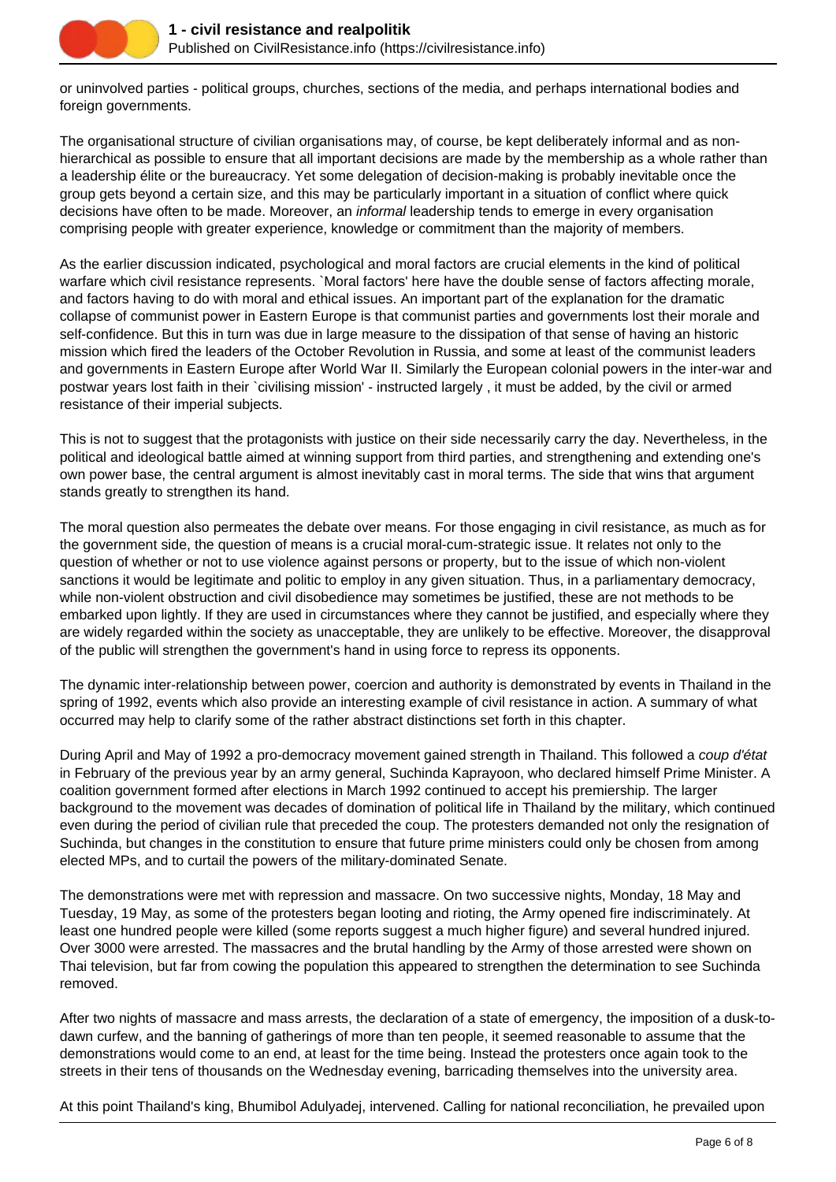

or uninvolved parties - political groups, churches, sections of the media, and perhaps international bodies and foreign governments.

The organisational structure of civilian organisations may, of course, be kept deliberately informal and as nonhierarchical as possible to ensure that all important decisions are made by the membership as a whole rather than a leadership élite or the bureaucracy. Yet some delegation of decision-making is probably inevitable once the group gets beyond a certain size, and this may be particularly important in a situation of conflict where quick decisions have often to be made. Moreover, an *informal* leadership tends to emerge in every organisation comprising people with greater experience, knowledge or commitment than the majority of members.

As the earlier discussion indicated, psychological and moral factors are crucial elements in the kind of political warfare which civil resistance represents. `Moral factors' here have the double sense of factors affecting morale, and factors having to do with moral and ethical issues. An important part of the explanation for the dramatic collapse of communist power in Eastern Europe is that communist parties and governments lost their morale and self-confidence. But this in turn was due in large measure to the dissipation of that sense of having an historic mission which fired the leaders of the October Revolution in Russia, and some at least of the communist leaders and governments in Eastern Europe after World War II. Similarly the European colonial powers in the inter-war and postwar years lost faith in their `civilising mission' - instructed largely , it must be added, by the civil or armed resistance of their imperial subjects.

This is not to suggest that the protagonists with justice on their side necessarily carry the day. Nevertheless, in the political and ideological battle aimed at winning support from third parties, and strengthening and extending one's own power base, the central argument is almost inevitably cast in moral terms. The side that wins that argument stands greatly to strengthen its hand.

The moral question also permeates the debate over means. For those engaging in civil resistance, as much as for the government side, the question of means is a crucial moral-cum-strategic issue. It relates not only to the question of whether or not to use violence against persons or property, but to the issue of which non-violent sanctions it would be legitimate and politic to employ in any given situation. Thus, in a parliamentary democracy, while non-violent obstruction and civil disobedience may sometimes be justified, these are not methods to be embarked upon lightly. If they are used in circumstances where they cannot be justified, and especially where they are widely regarded within the society as unacceptable, they are unlikely to be effective. Moreover, the disapproval of the public will strengthen the government's hand in using force to repress its opponents.

The dynamic inter-relationship between power, coercion and authority is demonstrated by events in Thailand in the spring of 1992, events which also provide an interesting example of civil resistance in action. A summary of what occurred may help to clarify some of the rather abstract distinctions set forth in this chapter.

During April and May of 1992 a pro-democracy movement gained strength in Thailand. This followed a coup d'état in February of the previous year by an army general, Suchinda Kaprayoon, who declared himself Prime Minister. A coalition government formed after elections in March 1992 continued to accept his premiership. The larger background to the movement was decades of domination of political life in Thailand by the military, which continued even during the period of civilian rule that preceded the coup. The protesters demanded not only the resignation of Suchinda, but changes in the constitution to ensure that future prime ministers could only be chosen from among elected MPs, and to curtail the powers of the military-dominated Senate.

The demonstrations were met with repression and massacre. On two successive nights, Monday, 18 May and Tuesday, 19 May, as some of the protesters began looting and rioting, the Army opened fire indiscriminately. At least one hundred people were killed (some reports suggest a much higher figure) and several hundred injured. Over 3000 were arrested. The massacres and the brutal handling by the Army of those arrested were shown on Thai television, but far from cowing the population this appeared to strengthen the determination to see Suchinda removed.

After two nights of massacre and mass arrests, the declaration of a state of emergency, the imposition of a dusk-todawn curfew, and the banning of gatherings of more than ten people, it seemed reasonable to assume that the demonstrations would come to an end, at least for the time being. Instead the protesters once again took to the streets in their tens of thousands on the Wednesday evening, barricading themselves into the university area.

At this point Thailand's king, Bhumibol Adulyadej, intervened. Calling for national reconciliation, he prevailed upon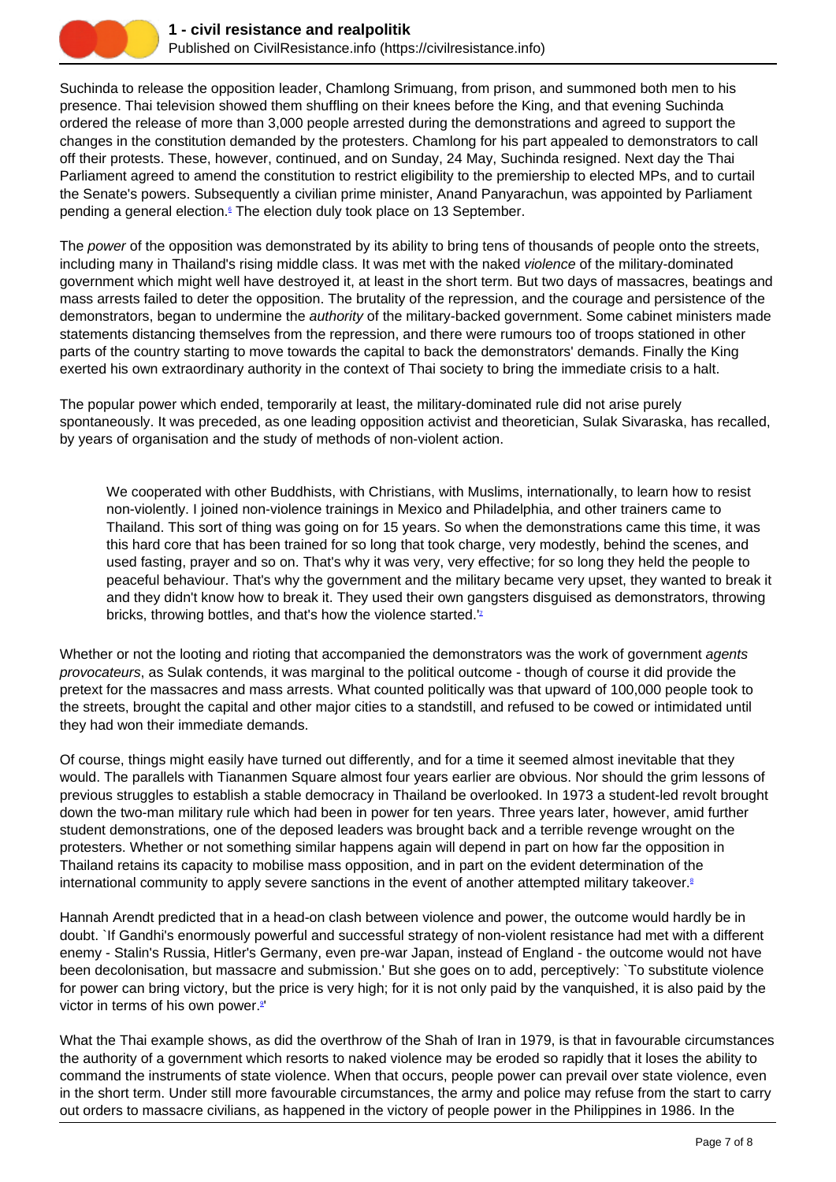

Suchinda to release the opposition leader, Chamlong Srimuang, from prison, and summoned both men to his presence. Thai television showed them shuffling on their knees before the King, and that evening Suchinda ordered the release of more than 3,000 people arrested during the demonstrations and agreed to support the changes in the constitution demanded by the protesters. Chamlong for his part appealed to demonstrators to call off their protests. These, however, continued, and on Sunday, 24 May, Suchinda resigned. Next day the Thai Parliament agreed to amend the constitution to restrict eligibility to the premiership to elected MPs, and to curtail the Senate's powers. Subsequently a civilian prime minister, Anand Panyarachun, was appointed by Parliament pending a general election.<sup>6</sup> The election duly took place on 13 September.

The power of the opposition was demonstrated by its ability to bring tens of thousands of people onto the streets, including many in Thailand's rising middle class. It was met with the naked violence of the military-dominated government which might well have destroyed it, at least in the short term. But two days of massacres, beatings and mass arrests failed to deter the opposition. The brutality of the repression, and the courage and persistence of the demonstrators, began to undermine the *authority* of the military-backed government. Some cabinet ministers made statements distancing themselves from the repression, and there were rumours too of troops stationed in other parts of the country starting to move towards the capital to back the demonstrators' demands. Finally the King exerted his own extraordinary authority in the context of Thai society to bring the immediate crisis to a halt.

The popular power which ended, temporarily at least, the military-dominated rule did not arise purely spontaneously. It was preceded, as one leading opposition activist and theoretician, Sulak Sivaraska, has recalled, by years of organisation and the study of methods of non-violent action.

We cooperated with other Buddhists, with Christians, with Muslims, internationally, to learn how to resist non-violently. I joined non-violence trainings in Mexico and Philadelphia, and other trainers came to Thailand. This sort of thing was going on for 15 years. So when the demonstrations came this time, it was this hard core that has been trained for so long that took charge, very modestly, behind the scenes, and used fasting, prayer and so on. That's why it was very, very effective; for so long they held the people to peaceful behaviour. That's why the government and the military became very upset, they wanted to break it and they didn't know how to break it. They used their own gangsters disguised as demonstrators, throwing bricks, throwing bottles, and that's how the violence started.<sup>'z</sup>

Whether or not the looting and rioting that accompanied the demonstrators was the work of government agents provocateurs, as Sulak contends, it was marginal to the political outcome - though of course it did provide the pretext for the massacres and mass arrests. What counted politically was that upward of 100,000 people took to the streets, brought the capital and other major cities to a standstill, and refused to be cowed or intimidated until they had won their immediate demands.

Of course, things might easily have turned out differently, and for a time it seemed almost inevitable that they would. The parallels with Tiananmen Square almost four years earlier are obvious. Nor should the grim lessons of previous struggles to establish a stable democracy in Thailand be overlooked. In 1973 a student-led revolt brought down the two-man military rule which had been in power for ten years. Three years later, however, amid further student demonstrations, one of the deposed leaders was brought back and a terrible revenge wrought on the protesters. Whether or not something similar happens again will depend in part on how far the opposition in Thailand retains its capacity to mobilise mass opposition, and in part on the evident determination of the international community to apply severe sanctions in the event of another attempted military takeover.<sup>8</sup>

Hannah Arendt predicted that in a head-on clash between violence and power, the outcome would hardly be in doubt. `If Gandhi's enormously powerful and successful strategy of non-violent resistance had met with a different enemy - Stalin's Russia, Hitler's Germany, even pre-war Japan, instead of England - the outcome would not have been decolonisation, but massacre and submission.' But she goes on to add, perceptively: `To substitute violence for power can bring victory, but the price is very high; for it is not only paid by the vanquished, it is also paid by the victor in terms of his own power.<sup>9'</sup>

What the Thai example shows, as did the overthrow of the Shah of Iran in 1979, is that in favourable circumstances the authority of a government which resorts to naked violence may be eroded so rapidly that it loses the ability to command the instruments of state violence. When that occurs, people power can prevail over state violence, even in the short term. Under still more favourable circumstances, the army and police may refuse from the start to carry out orders to massacre civilians, as happened in the victory of people power in the Philippines in 1986. In the